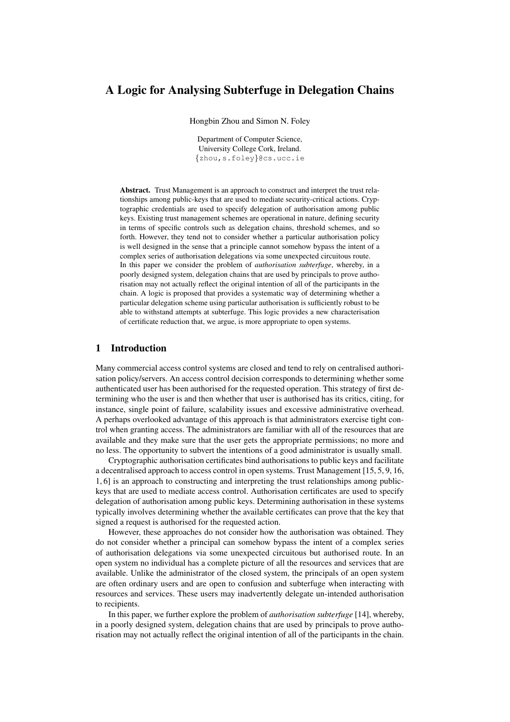# **A Logic for Analysing Subterfuge in Delegation Chains**

Hongbin Zhou and Simon N. Foley

Department of Computer Science, University College Cork, Ireland. {zhou,s.foley}@cs.ucc.ie

**Abstract.** Trust Management is an approach to construct and interpret the trust relationships among public-keys that are used to mediate security-critical actions. Cryptographic credentials are used to specify delegation of authorisation among public keys. Existing trust management schemes are operational in nature, defining security in terms of specific controls such as delegation chains, threshold schemes, and so forth. However, they tend not to consider whether a particular authorisation policy is well designed in the sense that a principle cannot somehow bypass the intent of a complex series of authorisation delegations via some unexpected circuitous route. In this paper we consider the problem of *authorisation subterfuge*, whereby, in a poorly designed system, delegation chains that are used by principals to prove authorisation may not actually reflect the original intention of all of the participants in the chain. A logic is proposed that provides a systematic way of determining whether a particular delegation scheme using particular authorisation is sufficiently robust to be able to withstand attempts at subterfuge. This logic provides a new characterisation of certificate reduction that, we argue, is more appropriate to open systems.

## **1 Introduction**

Many commercial access control systems are closed and tend to rely on centralised authorisation policy/servers. An access control decision corresponds to determining whether some authenticated user has been authorised for the requested operation. This strategy of first determining who the user is and then whether that user is authorised has its critics, citing, for instance, single point of failure, scalability issues and excessive administrative overhead. A perhaps overlooked advantage of this approach is that administrators exercise tight control when granting access. The administrators are familiar with all of the resources that are available and they make sure that the user gets the appropriate permissions; no more and no less. The opportunity to subvert the intentions of a good administrator is usually small.

Cryptographic authorisation certificates bind authorisations to public keys and facilitate a decentralised approach to access control in open systems. Trust Management [15, 5, 9, 16, 1, 6] is an approach to constructing and interpreting the trust relationships among publickeys that are used to mediate access control. Authorisation certificates are used to specify delegation of authorisation among public keys. Determining authorisation in these systems typically involves determining whether the available certificates can prove that the key that signed a request is authorised for the requested action.

However, these approaches do not consider how the authorisation was obtained. They do not consider whether a principal can somehow bypass the intent of a complex series of authorisation delegations via some unexpected circuitous but authorised route. In an open system no individual has a complete picture of all the resources and services that are available. Unlike the administrator of the closed system, the principals of an open system are often ordinary users and are open to confusion and subterfuge when interacting with resources and services. These users may inadvertently delegate un-intended authorisation to recipients.

In this paper, we further explore the problem of *authorisation subterfuge* [14], whereby, in a poorly designed system, delegation chains that are used by principals to prove authorisation may not actually reflect the original intention of all of the participants in the chain.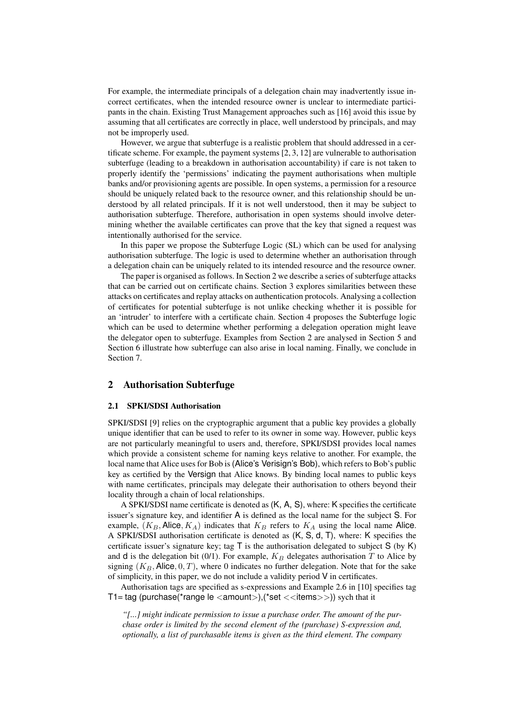For example, the intermediate principals of a delegation chain may inadvertently issue incorrect certificates, when the intended resource owner is unclear to intermediate participants in the chain. Existing Trust Management approaches such as [16] avoid this issue by assuming that all certificates are correctly in place, well understood by principals, and may not be improperly used.

However, we argue that subterfuge is a realistic problem that should addressed in a certificate scheme. For example, the payment systems  $[2, 3, 12]$  are vulnerable to authorisation subterfuge (leading to a breakdown in authorisation accountability) if care is not taken to properly identify the 'permissions' indicating the payment authorisations when multiple banks and/or provisioning agents are possible. In open systems, a permission for a resource should be uniquely related back to the resource owner, and this relationship should be understood by all related principals. If it is not well understood, then it may be subject to authorisation subterfuge. Therefore, authorisation in open systems should involve determining whether the available certificates can prove that the key that signed a request was intentionally authorised for the service.

In this paper we propose the Subterfuge Logic (SL) which can be used for analysing authorisation subterfuge. The logic is used to determine whether an authorisation through a delegation chain can be uniquely related to its intended resource and the resource owner.

The paper is organised as follows. In Section 2 we describe a series of subterfuge attacks that can be carried out on certificate chains. Section 3 explores similarities between these attacks on certificates and replay attacks on authentication protocols. Analysing a collection of certificates for potential subterfuge is not unlike checking whether it is possible for an 'intruder' to interfere with a certificate chain. Section 4 proposes the Subterfuge logic which can be used to determine whether performing a delegation operation might leave the delegator open to subterfuge. Examples from Section 2 are analysed in Section 5 and Section 6 illustrate how subterfuge can also arise in local naming. Finally, we conclude in Section 7.

## **2 Authorisation Subterfuge**

#### **2.1 SPKI/SDSI Authorisation**

SPKI/SDSI [9] relies on the cryptographic argument that a public key provides a globally unique identifier that can be used to refer to its owner in some way. However, public keys are not particularly meaningful to users and, therefore, SPKI/SDSI provides local names which provide a consistent scheme for naming keys relative to another. For example, the local name that Alice uses for Bob is (Alice's Verisign's Bob), which refers to Bob's public key as certified by the Versign that Alice knows. By binding local names to public keys with name certificates, principals may delegate their authorisation to others beyond their locality through a chain of local relationships.

A SPKI/SDSI name certificate is denoted as (K, A, S), where: K specifies the certificate issuer's signature key, and identifier A is defined as the local name for the subject S. For example,  $(K_B, \text{Alice}, K_A)$  indicates that  $K_B$  refers to  $K_A$  using the local name Alice. A SPKI/SDSI authorisation certificate is denoted as (K, S, d, T), where: K specifies the certificate issuer's signature key; tag  $\bar{T}$  is the authorisation delegated to subject  $S$  (by  $K$ ) and d is the delegation bit (0/1). For example,  $K_B$  delegates authorisation T to Alice by signing  $(K_B, \text{Alice}, 0, T)$ , where 0 indicates no further delegation. Note that for the sake of simplicity, in this paper, we do not include a validity period V in certificates.

Authorisation tags are specified as s-expressions and Example 2.6 in [10] specifies tag T1= tag (purchase(\*range le  $\langle$  amount $\rangle$ ),(\*set  $\langle$  items $\rangle$ )) sych that it

*"[...] might indicate permission to issue a purchase order. The amount of the purchase order is limited by the second element of the (purchase) S-expression and, optionally, a list of purchasable items is given as the third element. The company*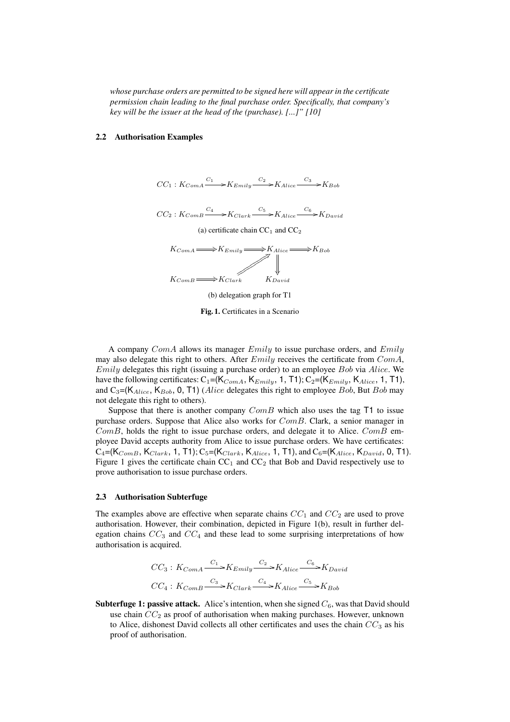*whose purchase orders are permitted to be signed here will appear in the certificate permission chain leading to the final purchase order. Specifically, that company's key will be the issuer at the head of the (purchase). [...]" [10]*

#### **2.2 Authorisation Examples**



(b) delegation graph for T1

**Fig. 1.** Certificates in a Scenario

A company  $ComA$  allows its manager  $Emily$  to issue purchase orders, and  $Emily$ may also delegate this right to others. After  $Emily$  receives the certificate from  $ComA$ , Emily delegates this right (issuing a purchase order) to an employee Bob via Alice. We have the following certificates:  $C_1 = (K_{ComA}, K_{Emily}, 1, T1); C_2 = (K_{Emily}, K_{Alice}, 1, T1),$ and C<sub>3</sub>=( $K_{Alice}$ ,  $K_{Bob}$ , 0, T1) (*Alice* delegates this right to employee  $Bob$ , But  $Bob$  may not delegate this right to others).

Suppose that there is another company  $ComB$  which also uses the tag T1 to issue purchase orders. Suppose that Alice also works for ComB. Clark, a senior manager in  $ComB$ , holds the right to issue purchase orders, and delegate it to Alice.  $ComB$  employee David accepts authority from Alice to issue purchase orders. We have certificates:  $C_4 = (K_{ComB}, K_{Clark}, 1, T1); C_5 = (K_{Clark}, K_{Alice}, 1, T1),$  and  $C_6 = (K_{Alice}, K_{David}, 0, T1).$ Figure 1 gives the certificate chain  $CC_1$  and  $CC_2$  that Bob and David respectively use to prove authorisation to issue purchase orders.

#### **2.3 Authorisation Subterfuge**

The examples above are effective when separate chains  $CC_1$  and  $CC_2$  are used to prove authorisation. However, their combination, depicted in Figure 1(b), result in further delegation chains  $CC_3$  and  $CC_4$  and these lead to some surprising interpretations of how authorisation is acquired.

$$
CC_3: K_{ComA} \xrightarrow{C_1} K_{Emily} \xrightarrow{C_2} K_{Alice} \xrightarrow{C_6} K_{David}
$$
  

$$
CC_4: K_{ComB} \xrightarrow{C_3} K_{Clark} \xrightarrow{C_4} K_{Alice} \xrightarrow{C_5} K_{Bob}
$$

**Subterfuge 1: passive attack.** Alice's intention, when she signed  $C_6$ , was that David should use chain  $CC_2$  as proof of authorisation when making purchases. However, unknown to Alice, dishonest David collects all other certificates and uses the chain  $CC_3$  as his proof of authorisation.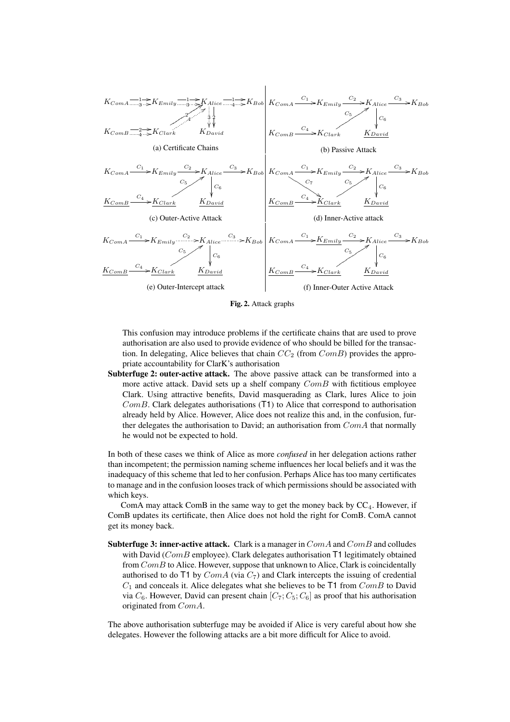

**Fig. 2.** Attack graphs

This confusion may introduce problems if the certificate chains that are used to prove authorisation are also used to provide evidence of who should be billed for the transaction. In delegating, Alice believes that chain  $CC_2$  (from  $ComB$ ) provides the appropriate accountability for ClarK's authorisation

**Subterfuge 2: outer-active attack.** The above passive attack can be transformed into a more active attack. David sets up a shelf company  $ComB$  with fictitious employee Clark. Using attractive benefits, David masquerading as Clark, lures Alice to join  $ComB$ . Clark delegates authorisations (T1) to Alice that correspond to authorisation already held by Alice. However, Alice does not realize this and, in the confusion, further delegates the authorisation to David; an authorisation from  $ComA$  that normally he would not be expected to hold.

In both of these cases we think of Alice as more *confused* in her delegation actions rather than incompetent; the permission naming scheme influences her local beliefs and it was the inadequacy of this scheme that led to her confusion. Perhaps Alice has too many certificates to manage and in the confusion looses track of which permissions should be associated with which keys.

ComA may attack ComB in the same way to get the money back by  $CC<sub>4</sub>$ . However, if ComB updates its certificate, then Alice does not hold the right for ComB. ComA cannot get its money back.

**Subterfuge 3: inner-active attack.** Clark is a manager in ComA and ComB and colludes with David ( $ComB$  employee). Clark delegates authorisation T1 legitimately obtained from ComB to Alice. However, suppose that unknown to Alice, Clark is coincidentally authorised to do T1 by  $ComA$  (via  $C_7$ ) and Clark intercepts the issuing of credential  $C_1$  and conceals it. Alice delegates what she believes to be T1 from  $ComB$  to David via  $C_6$ . However, David can present chain  $[C_7; C_5; C_6]$  as proof that his authorisation originated from ComA.

The above authorisation subterfuge may be avoided if Alice is very careful about how she delegates. However the following attacks are a bit more difficult for Alice to avoid.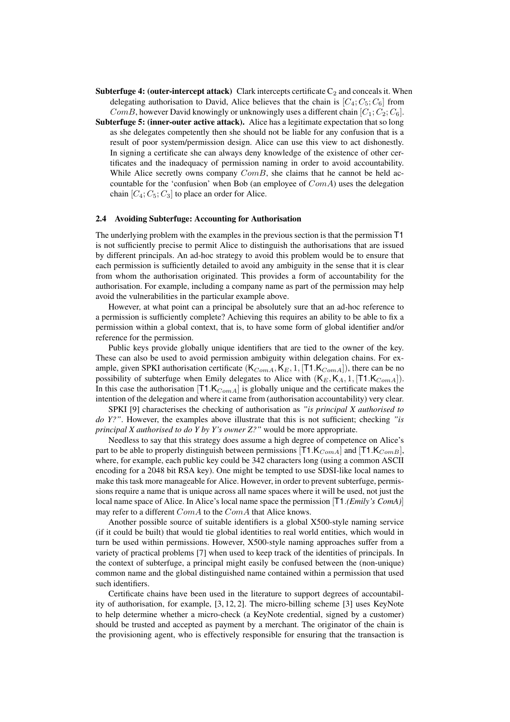- **Subterfuge 4: (outer-intercept attack)** Clark intercepts certificate  $C_2$  and conceals it. When delegating authorisation to David, Alice believes that the chain is  $[C_4; C_5; C_6]$  from ComB, however David knowingly or unknowingly uses a different chain  $[C_1; C_2; C_6]$ .
- **Subterfuge 5: (inner-outer active attack).** Alice has a legitimate expectation that so long as she delegates competently then she should not be liable for any confusion that is a result of poor system/permission design. Alice can use this view to act dishonestly. In signing a certificate she can always deny knowledge of the existence of other certificates and the inadequacy of permission naming in order to avoid accountability. While Alice secretly owns company  $ComB$ , she claims that he cannot be held accountable for the 'confusion' when Bob (an employee of  $ComA$ ) uses the delegation chain  $[C_4; C_5; C_3]$  to place an order for Alice.

#### **2.4 Avoiding Subterfuge: Accounting for Authorisation**

The underlying problem with the examples in the previous section is that the permission T1 is not sufficiently precise to permit Alice to distinguish the authorisations that are issued by different principals. An ad-hoc strategy to avoid this problem would be to ensure that each permission is sufficiently detailed to avoid any ambiguity in the sense that it is clear from whom the authorisation originated. This provides a form of accountability for the authorisation. For example, including a company name as part of the permission may help avoid the vulnerabilities in the particular example above.

However, at what point can a principal be absolutely sure that an ad-hoc reference to a permission is sufficiently complete? Achieving this requires an ability to be able to fix a permission within a global context, that is, to have some form of global identifier and/or reference for the permission.

Public keys provide globally unique identifiers that are tied to the owner of the key. These can also be used to avoid permission ambiguity within delegation chains. For example, given SPKI authorisation certificate  $(K_{ComA}, K_E, 1, [T1.K_{ComA}])$ , there can be no possibility of subterfuge when Emily delegates to Alice with  $(K_E, K_A, 1, [T1.K_{ComA}])$ . In this case the authorisation  $[T1.K_{ComA}]$  is globally unique and the certificate makes the intention of the delegation and where it came from (authorisation accountability) very clear.

SPKI [9] characterises the checking of authorisation as *"is principal X authorised to do Y?"*. However, the examples above illustrate that this is not sufficient; checking *"is principal X authorised to do Y by Y's owner Z?"* would be more appropriate.

Needless to say that this strategy does assume a high degree of competence on Alice's part to be able to properly distinguish between permissions [T1.K<sub>ComA</sub>] and [T1.K<sub>ComB</sub>], where, for example, each public key could be 342 characters long (using a common ASCII encoding for a 2048 bit RSA key). One might be tempted to use SDSI-like local names to make this task more manageable for Alice. However, in order to prevent subterfuge, permissions require a name that is unique across all name spaces where it will be used, not just the local name space of Alice. In Alice's local name space the permission [T1.*(Emily's ComA)*] may refer to a different ComA to the ComA that Alice knows.

Another possible source of suitable identifiers is a global X500-style naming service (if it could be built) that would tie global identities to real world entities, which would in turn be used within permissions. However, X500-style naming approaches suffer from a variety of practical problems [7] when used to keep track of the identities of principals. In the context of subterfuge, a principal might easily be confused between the (non-unique) common name and the global distinguished name contained within a permission that used such identifiers.

Certificate chains have been used in the literature to support degrees of accountability of authorisation, for example, [3, 12, 2]. The micro-billing scheme [3] uses KeyNote to help determine whether a micro-check (a KeyNote credential, signed by a customer) should be trusted and accepted as payment by a merchant. The originator of the chain is the provisioning agent, who is effectively responsible for ensuring that the transaction is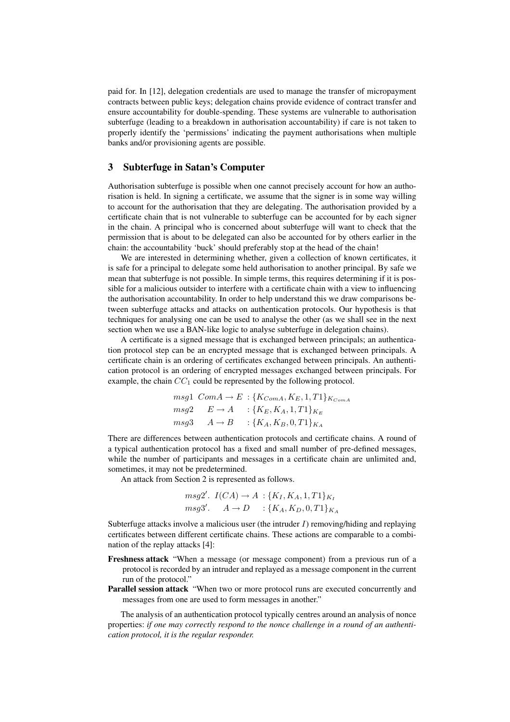paid for. In [12], delegation credentials are used to manage the transfer of micropayment contracts between public keys; delegation chains provide evidence of contract transfer and ensure accountability for double-spending. These systems are vulnerable to authorisation subterfuge (leading to a breakdown in authorisation accountability) if care is not taken to properly identify the 'permissions' indicating the payment authorisations when multiple banks and/or provisioning agents are possible.

## **3 Subterfuge in Satan's Computer**

Authorisation subterfuge is possible when one cannot precisely account for how an authorisation is held. In signing a certificate, we assume that the signer is in some way willing to account for the authorisation that they are delegating. The authorisation provided by a certificate chain that is not vulnerable to subterfuge can be accounted for by each signer in the chain. A principal who is concerned about subterfuge will want to check that the permission that is about to be delegated can also be accounted for by others earlier in the chain: the accountability 'buck' should preferably stop at the head of the chain!

We are interested in determining whether, given a collection of known certificates, it is safe for a principal to delegate some held authorisation to another principal. By safe we mean that subterfuge is not possible. In simple terms, this requires determining if it is possible for a malicious outsider to interfere with a certificate chain with a view to influencing the authorisation accountability. In order to help understand this we draw comparisons between subterfuge attacks and attacks on authentication protocols. Our hypothesis is that techniques for analysing one can be used to analyse the other (as we shall see in the next section when we use a BAN-like logic to analyse subterfuge in delegation chains).

A certificate is a signed message that is exchanged between principals; an authentication protocol step can be an encrypted message that is exchanged between principals. A certificate chain is an ordering of certificates exchanged between principals. An authentication protocol is an ordering of encrypted messages exchanged between principals. For example, the chain  $CC_1$  could be represented by the following protocol.

$$
msg1\quadboldsymbol{Com}\nA \to E: \{K_{ComA}, K_E, 1, T1\}_{K_{ComA}}\nmsg2\quad\nE \to A: \{K_E, K_A, 1, T1\}_{K_E}\nmsg3\quad\nA \to B: \{K_A, K_B, 0, T1\}_{K_A}
$$

There are differences between authentication protocols and certificate chains. A round of a typical authentication protocol has a fixed and small number of pre-defined messages, while the number of participants and messages in a certificate chain are unlimited and, sometimes, it may not be predetermined.

An attack from Section 2 is represented as follows.

$$
msg2'.\ \ I(CA) \to A : \{K_I, K_A, 1, T1\}_{K_I}
$$
  

$$
msg3'. \quad A \to D : \{K_A, K_D, 0, T1\}_{K_A}
$$

Subterfuge attacks involve a malicious user (the intruder  $I$ ) removing/hiding and replaying certificates between different certificate chains. These actions are comparable to a combination of the replay attacks [4]:

- **Freshness attack** "When a message (or message component) from a previous run of a protocol is recorded by an intruder and replayed as a message component in the current run of the protocol."
- **Parallel session attack** "When two or more protocol runs are executed concurrently and messages from one are used to form messages in another."

The analysis of an authentication protocol typically centres around an analysis of nonce properties: *if one may correctly respond to the nonce challenge in a round of an authentication protocol, it is the regular responder.*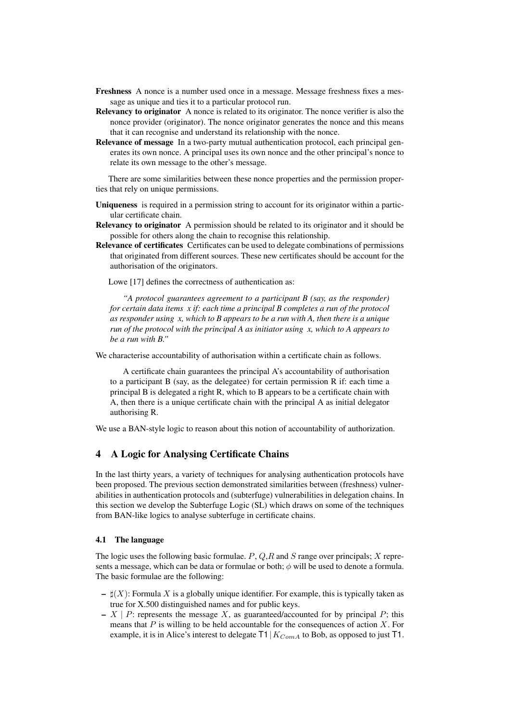- **Freshness** A nonce is a number used once in a message. Message freshness fixes a message as unique and ties it to a particular protocol run.
- **Relevancy to originator** A nonce is related to its originator. The nonce verifier is also the nonce provider (originator). The nonce originator generates the nonce and this means that it can recognise and understand its relationship with the nonce.
- **Relevance of message** In a two-party mutual authentication protocol, each principal generates its own nonce. A principal uses its own nonce and the other principal's nonce to relate its own message to the other's message.

There are some similarities between these nonce properties and the permission properties that rely on unique permissions.

- **Uniqueness** is required in a permission string to account for its originator within a particular certificate chain.
- **Relevancy to originator** A permission should be related to its originator and it should be possible for others along the chain to recognise this relationship.
- **Relevance of certificates** Certificates can be used to delegate combinations of permissions that originated from different sources. These new certificates should be account for the authorisation of the originators.

Lowe [17] defines the correctness of authentication as:

*"A protocol guarantees agreement to a participant B (say, as the responder) for certain data items x if: each time a principal B completes a run of the protocol as responder using x, which to B appears to be a run with A, then there is a unique run of the protocol with the principal A as initiator using x, which to A appears to be a run with B."*

We characterise accountability of authorisation within a certificate chain as follows.

A certificate chain guarantees the principal A's accountability of authorisation to a participant B (say, as the delegatee) for certain permission R if: each time a principal B is delegated a right R, which to B appears to be a certificate chain with A, then there is a unique certificate chain with the principal A as initial delegator authorising R.

We use a BAN-style logic to reason about this notion of accountability of authorization.

## **4 A Logic for Analysing Certificate Chains**

In the last thirty years, a variety of techniques for analysing authentication protocols have been proposed. The previous section demonstrated similarities between (freshness) vulnerabilities in authentication protocols and (subterfuge) vulnerabilities in delegation chains. In this section we develop the Subterfuge Logic (SL) which draws on some of the techniques from BAN-like logics to analyse subterfuge in certificate chains.

#### **4.1 The language**

The logic uses the following basic formulae.  $P$ ,  $Q$ ,  $R$  and  $S$  range over principals;  $X$  represents a message, which can be data or formulae or both;  $\phi$  will be used to denote a formula. The basic formulae are the following:

- $\sharp$ (*X*): Formula *X* is a globally unique identifier. For example, this is typically taken as true for X.500 distinguished names and for public keys.
- $X \mid P$ : represents the message X, as guaranteed/accounted for by principal P; this means that  $P$  is willing to be held accountable for the consequences of action  $X$ . For example, it is in Alice's interest to delegate  $T1|K_{ComA}$  to Bob, as opposed to just T1.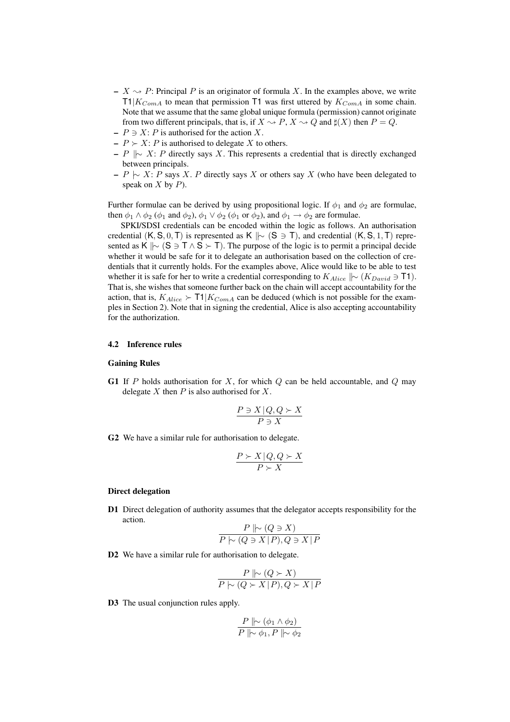- $\sim$  *N*  $\sim$  *P*: Principal *P* is an originator of formula *X*. In the examples above, we write  $\text{TI}|K_{ComA}$  to mean that permission T1 was first uttered by  $K_{ComA}$  in some chain. Note that we assume that the same global unique formula (permission) cannot originate from two different principals, that is, if  $X \rightarrow P$ ,  $X \rightarrow Q$  and  $\sharp(X)$  then  $P = Q$ .
- $-P \ni X: P$  is authorised for the action X.
- $-P \succ X$ : *P* is authorised to delegate X to others.
- **–** P  $\| \sim X$ : P directly says X. This represents a credential that is directly exchanged between principals.
- **–** P |∼ X: P says X. P directly says X or others say X (who have been delegated to speak on  $X$  by  $P$ ).

Further formulae can be derived by using propositional logic. If  $\phi_1$  and  $\phi_2$  are formulae, then  $\phi_1 \wedge \phi_2$  ( $\phi_1$  and  $\phi_2$ ),  $\phi_1 \vee \phi_2$  ( $\phi_1$  or  $\phi_2$ ), and  $\phi_1 \rightarrow \phi_2$  are formulae.

SPKI/SDSI credentials can be encoded within the logic as follows. An authorisation credential (K, S, 0, T) is represented as K  $\| \sim (S \ni T)$ , and credential (K, S, 1, T) represented as K  $\| \sim (S \ni T \land S \succ T)$ . The purpose of the logic is to permit a principal decide whether it would be safe for it to delegate an authorisation based on the collection of credentials that it currently holds. For the examples above, Alice would like to be able to test whether it is safe for her to write a credential corresponding to  $K_{Alice} \rvert \sim (K_{David} \ni \mathsf{T1}).$ That is, she wishes that someone further back on the chain will accept accountability for the action, that is,  $K_{Alice} \geq \text{I1}|K_{ComA}$  can be deduced (which is not possible for the examples in Section 2). Note that in signing the credential, Alice is also accepting accountability for the authorization.

#### **4.2 Inference rules**

#### **Gaining Rules**

**G1** If P holds authorisation for X, for which  $Q$  can be held accountable, and  $Q$  may delegate  $X$  then  $P$  is also authorised for  $X$ .

$$
\frac{P \ni X \mid Q, Q \succ X}{P \ni X}
$$

**G2** We have a similar rule for authorisation to delegate.

$$
\frac{P \succ X \,|\, Q, Q \succ X}{P \succ X}
$$

#### **Direct delegation**

**D1** Direct delegation of authority assumes that the delegator accepts responsibility for the action.

$$
\frac{P \| \sim (Q \ni X)}{P \mid \sim (Q \ni X \mid P), Q \ni X \mid P}
$$

**D2** We have a similar rule for authorisation to delegate.

$$
\frac{P \mid\vdash (Q \succ X)}{P \mid\vdash (Q \succ X \mid P), Q \succ X \mid P}
$$

**D3** The usual conjunction rules apply.

$$
\frac{P \|\sim (\phi_1 \wedge \phi_2)}{P \|\sim \phi_1, P \|\sim \phi_2}
$$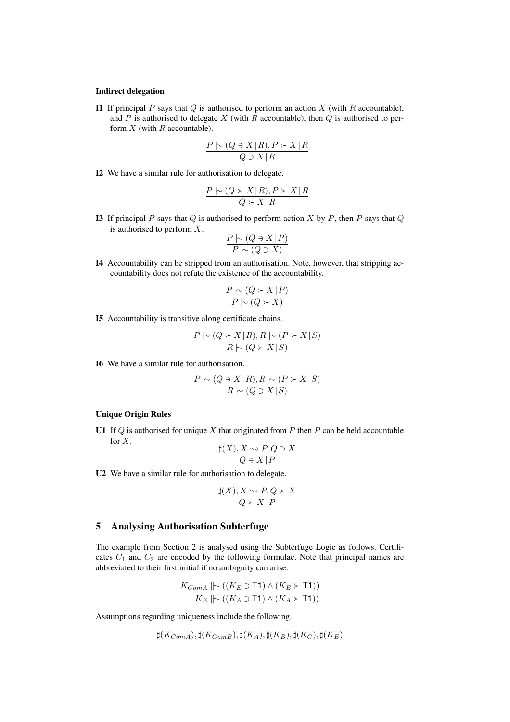## **Indirect delegation**

**I1** If principal  $P$  says that  $Q$  is authorised to perform an action  $X$  (with  $R$  accountable), and  $P$  is authorised to delegate  $X$  (with  $R$  accountable), then  $Q$  is authorised to perform  $X$  (with  $R$  accountable).

$$
\frac{P \mid \sim (Q \ni X \mid R), P \succ X \mid R}{Q \ni X \mid R}
$$

**I2** We have a similar rule for authorisation to delegate.

$$
\frac{P \mid \sim (Q \succ X \mid R), P \succ X \mid R}{Q \succ X \mid R}
$$

**I3** If principal P says that  $Q$  is authorised to perform action  $X$  by  $P$ , then  $P$  says that  $Q$ is authorised to perform X.

$$
\frac{P\hspace{0.2em}\sim\hspace{-0.9em}\mid\hspace{0.58em} (Q\ni X\!\mid\!P)}{P\hspace{0.2em}\sim\hspace{-0.9em}\mid\hspace{0.58em} (Q\ni X)}
$$

**I4** Accountability can be stripped from an authorisation. Note, however, that stripping accountability does not refute the existence of the accountability.

$$
\frac{P \mid \sim (Q \succ X \mid P)}{P \mid \sim (Q \succ X)}
$$

**I5** Accountability is transitive along certificate chains.

$$
\frac{P \mid \sim (Q \succ X \mid R), R \mid \sim (P \succ X \mid S)}{R \mid \sim (Q \succ X \mid S)}
$$

**I6** We have a similar rule for authorisation.

$$
\frac{P \mid \sim (Q \ni X \mid R), R \mid \sim (P \succ X \mid S)}{R \mid \sim (Q \ni X \mid S)}
$$

## **Unique Origin Rules**

**U1** If  $Q$  is authorised for unique  $X$  that originated from  $P$  then  $P$  can be held accountable for  $X$ .

$$
\frac{\sharp(X), X \rightsquigarrow P, Q \ni X}{Q \ni X \mid P}
$$

**U2** We have a similar rule for authorisation to delegate.

$$
\frac{\sharp(X), X \rightsquigarrow P, Q \succ X}{Q \succ X \mid P}
$$

## **5 Analysing Authorisation Subterfuge**

The example from Section 2 is analysed using the Subterfuge Logic as follows. Certificates  $C_1$  and  $C_2$  are encoded by the following formulae. Note that principal names are abbreviated to their first initial if no ambiguity can arise.

$$
K_{ComA} \mid\mid \sim ((K_E \ni \text{T1}) \land (K_E \succ \text{T1}))
$$

$$
K_E \mid\mid \sim ((K_A \ni \text{T1}) \land (K_A \succ \text{T1}))
$$

Assumptions regarding uniqueness include the following.

 $\sharp (K_{ComA}), \sharp (K_{ComB}), \sharp (K_A), \sharp (K_B), \sharp (K_C), \sharp (K_E))$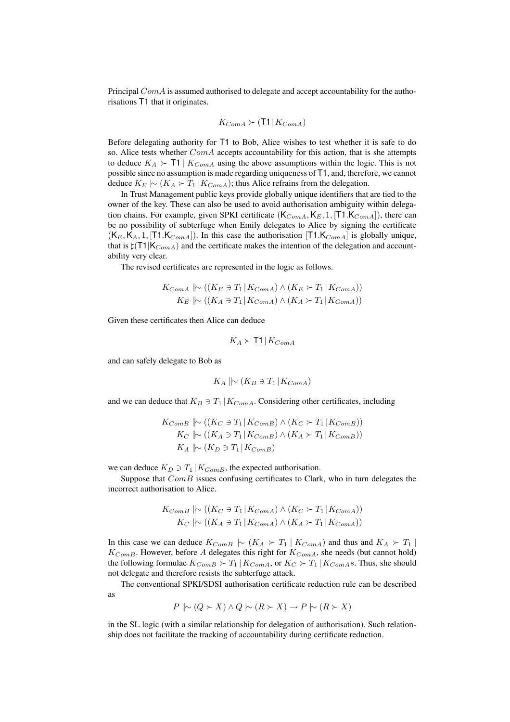Principal ComA is assumed authorised to delegate and accept accountability for the authorisations T1 that it originates.

$$
K_{ComA} \succ (\text{T1}|K_{ComA})
$$

Before delegating authority for T1 to Bob, Alice wishes to test whether it is safe to do so. Alice tests whether  $ComA$  accepts accountability for this action, that is she attempts to deduce  $K_A \succ \text{T1} | K_{ComA}$  using the above assumptions within the logic. This is not possible since no assumption is made regarding uniqueness of T1, and, therefore, we cannot deduce  $K_E$   $\sim$  ( $K_A$  ≻  $T_1$  |  $K_{ComA}$ ); thus Alice refrains from the delegation.

In Trust Management public keys provide globally unique identifiers that are tied to the owner of the key. These can also be used to avoid authorisation ambiguity within delegation chains. For example, given SPKI certificate  $(K_{ComA}, K_E, 1, [T1.K_{ComA}])$ , there can be no possibility of subterfuge when Emily delegates to Alice by signing the certificate  $(K_E, K_A, 1, [T1.K_{ComA}])$ . In this case the authorisation  $[T1.K_{ComA}]$  is globally unique, that is  $\sharp$ (T1|K<sub>ComA</sub>) and the certificate makes the intention of the delegation and accountability very clear.

The revised certificates are represented in the logic as follows.

$$
K_{ComA} \mid\mid \sim ((K_E \ni T_1 \mid K_{ComA}) \land (K_E \succ T_1 \mid K_{ComA}))
$$
  
\n
$$
K_E \mid\mid \sim ((K_A \ni T_1 \mid K_{ComA}) \land (K_A \succ T_1 \mid K_{ComA}))
$$

Given these certificates then Alice can deduce

$$
K_A \succ \textbf{T1} | K_{ComA}
$$

and can safely delegate to Bob as

$$
K_A \|\sim (K_B \ni T_1 \,|\, K_{ComA})
$$

and we can deduce that  $K_B \ni T_1 | K_{ComA}$ . Considering other certificates, including

$$
K_{ComB} \mid\sim ((K_C \ni T_1 \mid K_{ComB}) \land (K_C \succ T_1 \mid K_{ComB}))
$$
  
\n
$$
K_C \mid\sim ((K_A \ni T_1 \mid K_{ComB}) \land (K_A \succ T_1 \mid K_{ComB}))
$$
  
\n
$$
K_A \mid\sim (K_D \ni T_1 \mid K_{ComB})
$$

we can deduce  $K_D \ni T_1 | K_{ComB}$ , the expected authorisation.

Suppose that  $ComB$  issues confusing certificates to Clark, who in turn delegates the incorrect authorisation to Alice.

$$
K_{ComB} \mid\sim ((K_C \ni T_1 \mid K_{ComA}) \land (K_C \succ T_1 \mid K_{ComA}))
$$
  
\n
$$
K_C \mid\sim ((K_A \ni T_1 \mid K_{ComA}) \land (K_A \succ T_1 \mid K_{ComA}))
$$

In this case we can deduce  $K_{ComB} \sim (K_A \succ T_1 \mid K_{ComA})$  and thus and  $K_A \succ T_1 \mid$  $K_{ComB}$ . However, before A delegates this right for  $K_{ComA}$ , she needs (but cannot hold) the following formulae  $K_{ComB} \succ T_1 | K_{ComA}$ , or  $K_C \succ T_1 | K_{ComA}$ s. Thus, she should not delegate and therefore resists the subterfuge attack.

The conventional SPKI/SDSI authorisation certificate reduction rule can be described as

$$
P \mid\hspace{-.25cm}\mid \sim (Q \succ X) \land Q \mid\hspace{-.25cm}\sim (R \succ X) \to P \mid\hspace{-.25cm}\sim (R \succ X)
$$

in the SL logic (with a similar relationship for delegation of authorisation). Such relationship does not facilitate the tracking of accountability during certificate reduction.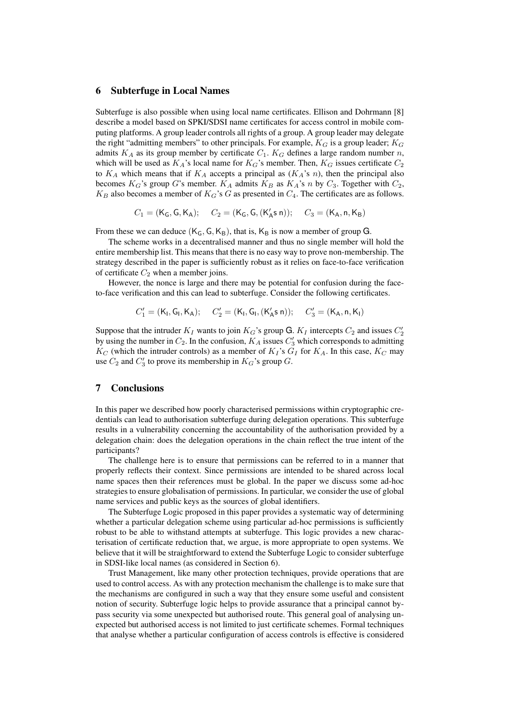## **6 Subterfuge in Local Names**

Subterfuge is also possible when using local name certificates. Ellison and Dohrmann [8] describe a model based on SPKI/SDSI name certificates for access control in mobile computing platforms. A group leader controls all rights of a group. A group leader may delegate the right "admitting members" to other principals. For example,  $K_G$  is a group leader;  $K_G$ admits  $K_A$  as its group member by certificate  $C_1$ .  $K_G$  defines a large random number n, which will be used as  $K_A$ 's local name for  $K_G$ 's member. Then,  $K_G$  issues certificate  $C_2$ to  $K_A$  which means that if  $K_A$  accepts a principal as  $(K_A$ 's n), then the principal also becomes  $K_G$ 's group G's member.  $K_A$  admits  $K_B$  as  $K_A$ 's n by  $C_3$ . Together with  $C_2$ ,  $K_B$  also becomes a member of  $K_G$ 's G as presented in  $C_4$ . The certificates are as follows.

$$
C_1 = (\mathsf{K}_{\mathsf{G}}, \mathsf{G}, \mathsf{K}_{\mathsf{A}}); \quad C_2 = (\mathsf{K}_{\mathsf{G}}, \mathsf{G}, (\mathsf{K}_{\mathsf{A}}^{\prime} \mathsf{s} \, \mathsf{n})); \quad C_3 = (\mathsf{K}_{\mathsf{A}}, \mathsf{n}, \mathsf{K}_{\mathsf{B}})
$$

From these we can deduce  $(K_G, G, K_B)$ , that is,  $K_B$  is now a member of group G.

The scheme works in a decentralised manner and thus no single member will hold the entire membership list. This means that there is no easy way to prove non-membership. The strategy described in the paper is sufficiently robust as it relies on face-to-face verification of certificate  $C_2$  when a member joins.

However, the nonce is large and there may be potential for confusion during the faceto-face verification and this can lead to subterfuge. Consider the following certificates.

$$
C_1' = (K_1, G_1, K_A); \quad C_2' = (K_1, G_1, (K_A' s n)); \quad C_3' = (K_A, n, K_I)
$$

Suppose that the intruder  $K_I$  wants to join  $K_G$ 's group G.  $K_I$  intercepts  $C_2$  and issues  $C_2'$ by using the number in  $C_2$ . In the confusion,  $K_A$  issues  $C'_3$  which corresponds to admitting  $K_C$  (which the intruder controls) as a member of  $K_I$ 's  $G_I$  for  $K_A$ . In this case,  $K_C$  may use  $C_2$  and  $C_3'$  to prove its membership in  $K_G$ 's group  $G$ .

## **7 Conclusions**

In this paper we described how poorly characterised permissions within cryptographic credentials can lead to authorisation subterfuge during delegation operations. This subterfuge results in a vulnerability concerning the accountability of the authorisation provided by a delegation chain: does the delegation operations in the chain reflect the true intent of the participants?

The challenge here is to ensure that permissions can be referred to in a manner that properly reflects their context. Since permissions are intended to be shared across local name spaces then their references must be global. In the paper we discuss some ad-hoc strategies to ensure globalisation of permissions. In particular, we consider the use of global name services and public keys as the sources of global identifiers.

The Subterfuge Logic proposed in this paper provides a systematic way of determining whether a particular delegation scheme using particular ad-hoc permissions is sufficiently robust to be able to withstand attempts at subterfuge. This logic provides a new characterisation of certificate reduction that, we argue, is more appropriate to open systems. We believe that it will be straightforward to extend the Subterfuge Logic to consider subterfuge in SDSI-like local names (as considered in Section 6).

Trust Management, like many other protection techniques, provide operations that are used to control access. As with any protection mechanism the challenge is to make sure that the mechanisms are configured in such a way that they ensure some useful and consistent notion of security. Subterfuge logic helps to provide assurance that a principal cannot bypass security via some unexpected but authorised route. This general goal of analysing unexpected but authorised access is not limited to just certificate schemes. Formal techniques that analyse whether a particular configuration of access controls is effective is considered